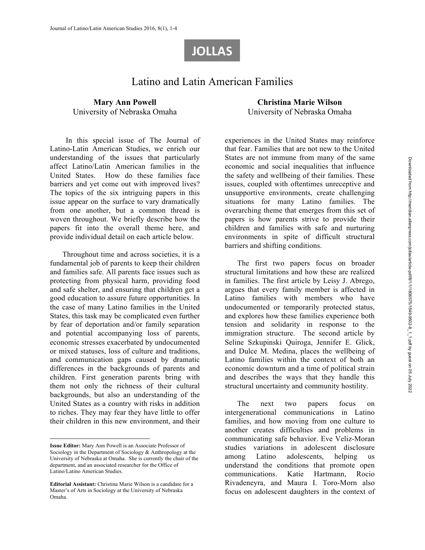# **JOLLAS**

# Latino and Latin American Families

#### **Mary Ann Powell**  University of Nebraska Omaha

In this special issue of The Journal of Latino-Latin American Studies, we enrich our understanding of the issues that particularly affect Latino/Latin American families in the United States. How do these families face barriers and yet come out with improved lives? The topics of the six intriguing papers in this issue appear on the surface to vary dramatically from one another, but a common thread is woven throughout. We briefly describe how the papers fit into the overall theme here, and provide individual detail on each article below.

Throughout time and across societies, it is a fundamental job of parents to keep their children and families safe. All parents face issues such as protecting from physical harm, providing food and safe shelter, and ensuring that children get a good education to assure future opportunities. In the case of many Latino families in the United States, this task may be complicated even further by fear of deportation and/or family separation and potential accompanying loss of parents, economic stresses exacerbated by undocumented or mixed statuses, loss of culture and traditions, and communication gaps caused by dramatic differences in the backgrounds of parents and children. First generation parents bring with them not only the richness of their cultural backgrounds, but also an understanding of the United States as a country with risks in addition to riches. They may fear they have little to offer their children in this new environment, and their

 $\overline{a}$ 

**Christina Marie Wilson**  University of Nebraska Omaha

experiences in the United States may reinforce that fear. Families that are not new to the United States are not immune from many of the same economic and social inequalities that influence the safety and wellbeing of their families. These issues, coupled with oftentimes unreceptive and unsupportive environments, create challenging situations for many Latino families. The overarching theme that emerges from this set of papers is how parents strive to provide their children and families with safe and nurturing environments in spite of difficult structural barriers and shifting conditions.

The first two papers focus on broader structural limitations and how these are realized in families. The first article by Leisy J. Abrego, argues that every family member is affected in Latino families with members who have undocumented or temporarily protected status, and explores how these families experience both tension and solidarity in response to the immigration structure. The second article by Seline Szkupinski Quiroga, Jennifer E. Glick, and Dulce M. Medina, places the wellbeing of Latino families within the context of both an economic downturn and a time of political strain and describes the ways that they handle this structural uncertainty and community hostility.

The next two papers focus on intergenerational communications in Latino families, and how moving from one culture to another creates difficulties and problems in communicating safe behavior. Eve Veliz-Moran studies variations in adolescent disclosure among Latino adolescents, helping understand the conditions that promote open communications. Katie Hartmann, Rocio Rivadeneyra, and Maura I. Toro-Morn also focus on adolescent daughters in the context of

**Issue Editor:** Mary Ann Powell is an Associate Professor of Sociology in the Department of Sociology & Anthropology at the University of Nebraska at Omaha. She is currently the chair of the department, and an associated researcher for the Office of Latino/Latino American Studies.

**Editorial Assistant:** Christina Marie Wilson is a candidate for a Master's of Arts in Sociology at the University of Nebraska Omaha.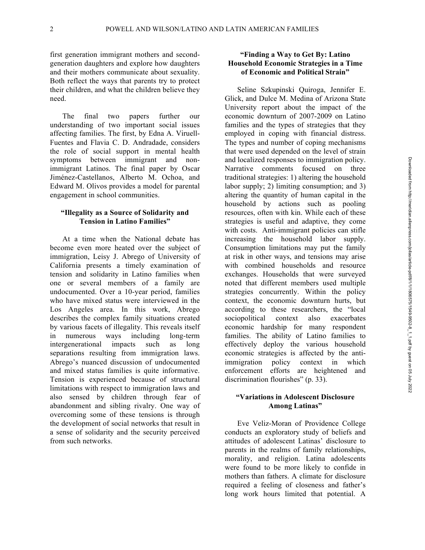first generation immigrant mothers and secondgeneration daughters and explore how daughters and their mothers communicate about sexuality. Both reflect the ways that parents try to protect their children, and what the children believe they need.

The final two papers further our understanding of two important social issues affecting families. The first, by Edna A. Viruell-Fuentes and Flavia C. D. Andradade, considers the role of social support in mental health symptoms between immigrant and nonimmigrant Latinos. The final paper by Oscar Jiménez-Castellanos, Alberto M. Ochoa, and Edward M. Olivos provides a model for parental engagement in school communities.

#### **"Illegality as a Source of Solidarity and Tension in Latino Families"**

At a time when the National debate has become even more heated over the subject of immigration, Leisy J. Abrego of University of California presents a timely examination of tension and solidarity in Latino families when one or several members of a family are undocumented. Over a 10-year period, families who have mixed status were interviewed in the Los Angeles area. In this work, Abrego describes the complex family situations created by various facets of illegality. This reveals itself in numerous ways including long-term intergenerational impacts such as long separations resulting from immigration laws. Abrego's nuanced discussion of undocumented and mixed status families is quite informative. Tension is experienced because of structural limitations with respect to immigration laws and also sensed by children through fear of abandonment and sibling rivalry. One way of overcoming some of these tensions is through the development of social networks that result in a sense of solidarity and the security perceived from such networks.

#### **"Finding a Way to Get By: Latino Household Economic Strategies in a Time of Economic and Political Strain"**

Seline Szkupinski Quiroga, Jennifer E. Glick, and Dulce M. Medina of Arizona State University report about the impact of the economic downturn of 2007-2009 on Latino families and the types of strategies that they employed in coping with financial distress. The types and number of coping mechanisms that were used depended on the level of strain and localized responses to immigration policy. Narrative comments focused on three traditional strategies: 1) altering the household labor supply; 2) limiting consumption; and 3) altering the quantity of human capital in the household by actions such as pooling resources, often with kin. While each of these strategies is useful and adaptive, they come with costs. Anti-immigrant policies can stifle increasing the household labor supply. Consumption limitations may put the family at risk in other ways, and tensions may arise with combined households and resource exchanges. Households that were surveyed noted that different members used multiple strategies concurrently. Within the policy context, the economic downturn hurts, but according to these researchers, the "local sociopolitical context also exacerbates economic hardship for many respondent families. The ability of Latino families to effectively deploy the various household economic strategies is affected by the antiimmigration policy context in which enforcement efforts are heightened and discrimination flourishes" (p. 33).

#### **"Variations in Adolescent Disclosure Among Latinas"**

Eve Veliz-Moran of Providence College conducts an exploratory study of beliefs and attitudes of adolescent Latinas' disclosure to parents in the realms of family relationships, morality, and religion. Latina adolescents were found to be more likely to confide in mothers than fathers. A climate for disclosure required a feeling of closeness and father's long work hours limited that potential. A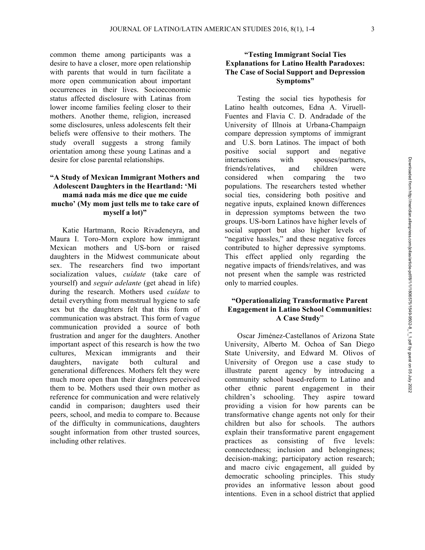common theme among participants was a desire to have a closer, more open relationship with parents that would in turn facilitate a more open communication about important occurrences in their lives. Socioeconomic status affected disclosure with Latinas from lower income families feeling closer to their mothers. Another theme, religion, increased some disclosures, unless adolescents felt their beliefs were offensive to their mothers. The study overall suggests a strong family orientation among these young Latinas and a desire for close parental relationships.

#### **"A Study of Mexican Immigrant Mothers and Adolescent Daughters in the Heartland: 'Mi mamá nada más me dice que me cuide mucho' (My mom just tells me to take care of myself a lot)"**

Katie Hartmann, Rocio Rivadeneyra, and Maura I. Toro-Morn explore how immigrant Mexican mothers and US-born or raised daughters in the Midwest communicate about sex. The researchers find two important socialization values, *cuídate* (take care of yourself) and *seguir adelante* (get ahead in life) during the research. Mothers used *cuídate* to detail everything from menstrual hygiene to safe sex but the daughters felt that this form of communication was abstract. This form of vague communication provided a source of both frustration and anger for the daughters. Another important aspect of this research is how the two cultures, Mexican immigrants and their daughters, navigate both cultural and generational differences. Mothers felt they were much more open than their daughters perceived them to be. Mothers used their own mother as reference for communication and were relatively candid in comparison; daughters used their peers, school, and media to compare to. Because of the difficulty in communications, daughters sought information from other trusted sources, including other relatives.

## **"Testing Immigrant Social Ties Explanations for Latino Health Paradoxes: The Case of Social Support and Depression Symptoms"**

Testing the social ties hypothesis for Latino health outcomes, Edna A. Viruell-Fuentes and Flavia C. D. Andradade of the University of Illnois at Urbana-Champaign compare depression symptoms of immigrant and U.S. born Latinos. The impact of both positive social support and negative interactions with spouses/partners, friends/relatives, and children were considered when comparing the two populations. The researchers tested whether social ties, considering both positive and negative inputs, explained known differences in depression symptoms between the two groups. US-born Latinos have higher levels of social support but also higher levels of "negative hassles," and these negative forces contributed to higher depressive symptoms. This effect applied only regarding the negative impacts of friends/relatives, and was not present when the sample was restricted only to married couples.

## **"Operationalizing Transformative Parent Engagement in Latino School Communities: A Case Study**"

Oscar Jiménez-Castellanos of Arizona State University, Alberto M. Ochoa of San Diego State University, and Edward M. Olivos of University of Oregon use a case study to illustrate parent agency by introducing a community school based-reform to Latino and other ethnic parent engagement in their children's schooling. They aspire toward providing a vision for how parents can be transformative change agents not only for their children but also for schools. The authors explain their transformative parent engagement practices as consisting of five levels: connectedness; inclusion and belongingness; decision-making; participatory action research; and macro civic engagement, all guided by democratic schooling principles. This study provides an informative lesson about good intentions. Even in a school district that applied